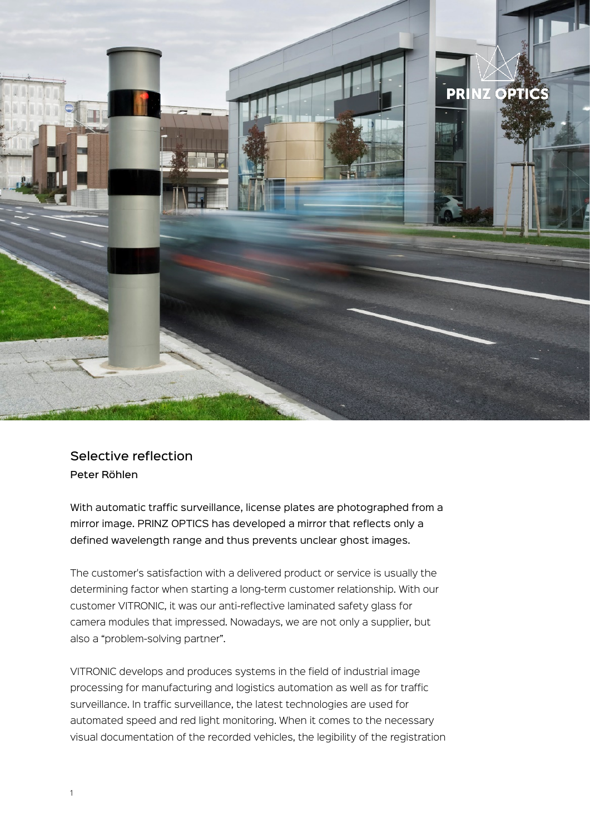

## Selective reflection Peter Röhlen

With automatic traffic surveillance, license plates are photographed from a mirror image. PRINZ OPTICS has developed a mirror that reflects only a defined wavelength range and thus prevents unclear ghost images.

The customer's satisfaction with a delivered product or service is usually the determining factor when starting a long-term customer relationship. With our customer VITRONIC, it was our anti-reflective laminated safety glass for camera modules that impressed. Nowadays, we are not only a supplier, but also a "problem-solving partner".

VITRONIC develops and produces systems in the field of industrial image processing for manufacturing and logistics automation as well as for traffic surveillance. In traffic surveillance, the latest technologies are used for automated speed and red light monitoring. When it comes to the necessary visual documentation of the recorded vehicles, the legibility of the registration